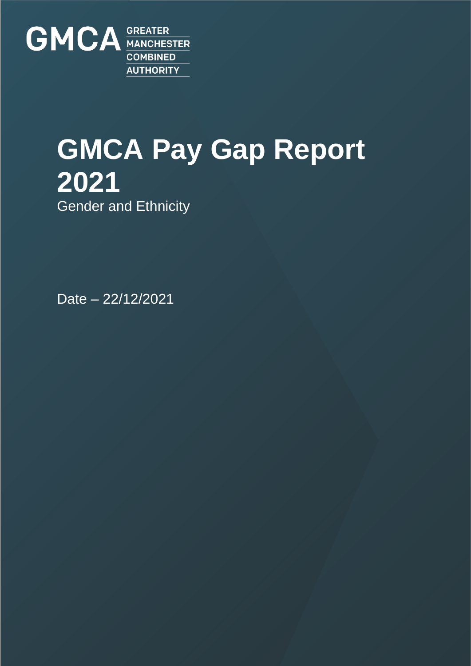

# **GMCA Pay Gap Report 2021** Gender and Ethnicity

Date – 22/12/2021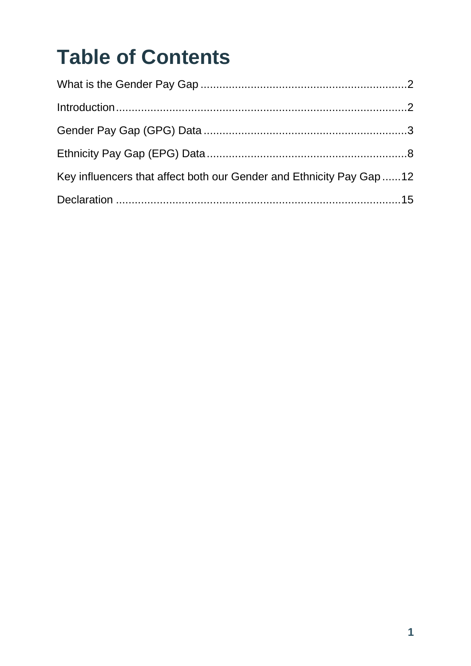# **Table of Contents**

| Key influencers that affect both our Gender and Ethnicity Pay Gap 12 |  |
|----------------------------------------------------------------------|--|
|                                                                      |  |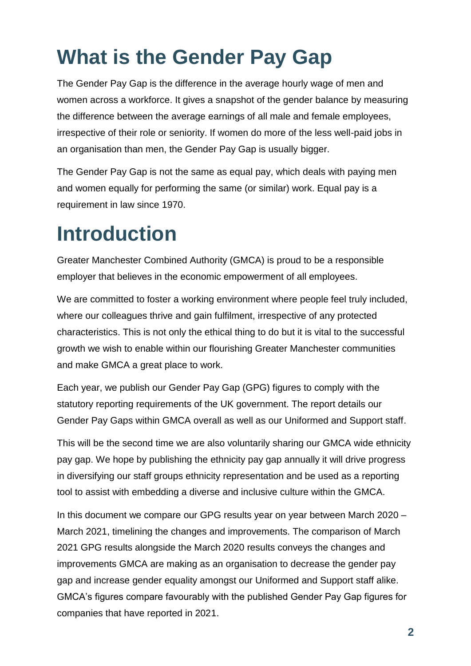## <span id="page-2-0"></span>**What is the Gender Pay Gap**

The Gender Pay Gap is the difference in the average hourly wage of men and women across a workforce. It gives a snapshot of the gender balance by measuring the difference between the average earnings of all male and female employees, irrespective of their role or seniority. If women do more of the less well-paid jobs in an organisation than men, the Gender Pay Gap is usually bigger.

The Gender Pay Gap is not the same as equal pay, which deals with paying men and women equally for performing the same (or similar) work. Equal pay is a requirement in law since 1970.

## <span id="page-2-1"></span>**Introduction**

Greater Manchester Combined Authority (GMCA) is proud to be a responsible employer that believes in the economic empowerment of all employees.

We are committed to foster a working environment where people feel truly included, where our colleagues thrive and gain fulfilment, irrespective of any protected characteristics. This is not only the ethical thing to do but it is vital to the successful growth we wish to enable within our flourishing Greater Manchester communities and make GMCA a great place to work.

Each year, we publish our Gender Pay Gap (GPG) figures to comply with the statutory reporting requirements of the UK government. The report details our Gender Pay Gaps within GMCA overall as well as our Uniformed and Support staff.

This will be the second time we are also voluntarily sharing our GMCA wide ethnicity pay gap. We hope by publishing the ethnicity pay gap annually it will drive progress in diversifying our staff groups ethnicity representation and be used as a reporting tool to assist with embedding a diverse and inclusive culture within the GMCA.

In this document we compare our GPG results year on year between March 2020 – March 2021, timelining the changes and improvements. The comparison of March 2021 GPG results alongside the March 2020 results conveys the changes and improvements GMCA are making as an organisation to decrease the gender pay gap and increase gender equality amongst our Uniformed and Support staff alike. GMCA's figures compare favourably with the published Gender Pay Gap figures for companies that have reported in 2021.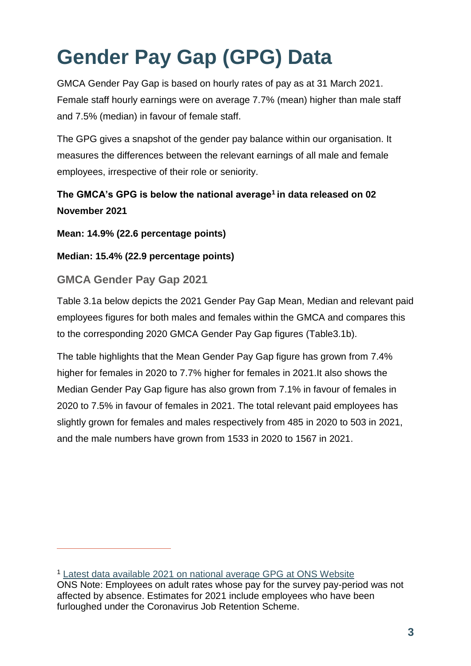# <span id="page-3-0"></span>**Gender Pay Gap (GPG) Data**

GMCA Gender Pay Gap is based on hourly rates of pay as at 31 March 2021. Female staff hourly earnings were on average 7.7% (mean) higher than male staff and 7.5% (median) in favour of female staff.

The GPG gives a snapshot of the gender pay balance within our organisation. It measures the differences between the relevant earnings of all male and female employees, irrespective of their role or seniority.

## **The GMCA's GPG is below the national average<sup>1</sup> in data released on 02 November 2021**

**Mean: 14.9% (22.6 percentage points)**

**Median: 15.4% (22.9 percentage points)**

## **GMCA Gender Pay Gap 2021**

 $\overline{a}$ 

Table 3.1a below depicts the 2021 Gender Pay Gap Mean, Median and relevant paid employees figures for both males and females within the GMCA and compares this to the corresponding 2020 GMCA Gender Pay Gap figures (Table3.1b).

The table highlights that the Mean Gender Pay Gap figure has grown from 7.4% higher for females in 2020 to 7.7% higher for females in 2021.It also shows the Median Gender Pay Gap figure has also grown from 7.1% in favour of females in 2020 to 7.5% in favour of females in 2021. The total relevant paid employees has slightly grown for females and males respectively from 485 in 2020 to 503 in 2021, and the male numbers have grown from 1533 in 2020 to 1567 in 2021.

<sup>1</sup> Latest data available 2021 [on national average GPG at ONS Website](https://www.ons.gov.uk/employmentandlabourmarket/peopleinwork/earningsandworkinghours/datasets/annualsurveyofhoursandearningsashegenderpaygaptables)

ONS Note: Employees on adult rates whose pay for the survey pay-period was not affected by absence. Estimates for 2021 include employees who have been furloughed under the Coronavirus Job Retention Scheme.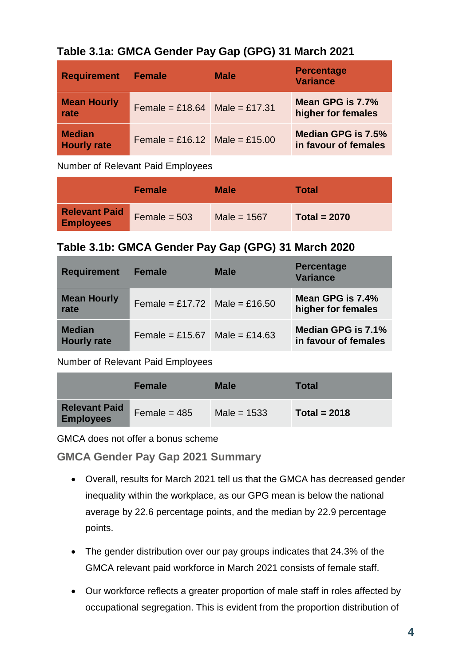| Table 3.1a: GMCA Gender Pay Gap (GPG) 31 March 2021 |  |  |
|-----------------------------------------------------|--|--|
|                                                     |  |  |

| <b>Requirement</b>                  | <b>Female</b>                 | <b>Male</b> | <b>Percentage</b><br><b>Variance</b>       |
|-------------------------------------|-------------------------------|-------------|--------------------------------------------|
| <b>Mean Hourly</b><br>rate          | Female = £18.64 Male = £17.31 |             | Mean GPG is 7.7%<br>higher for females     |
| <b>Median</b><br><b>Hourly rate</b> | Female = £16.12 Male = £15.00 |             | Median GPG is 7.5%<br>in favour of females |

Number of Relevant Paid Employees

|                                          | <b>Female</b>  | <b>Male</b>   | Total          |
|------------------------------------------|----------------|---------------|----------------|
| <b>Relevant Paid</b><br><b>Employees</b> | $Female = 503$ | Male = $1567$ | Total = $2070$ |

## **Table 3.1b: GMCA Gender Pay Gap (GPG) 31 March 2020**

| <b>Requirement</b>                  | <b>Female</b>                 | <b>Male</b> | <b>Percentage</b><br><b>Variance</b>       |
|-------------------------------------|-------------------------------|-------------|--------------------------------------------|
| <b>Mean Hourly</b><br>rate          | Female = £17.72 Male = £16.50 |             | Mean GPG is 7.4%<br>higher for females     |
| <b>Median</b><br><b>Hourly rate</b> | Female = £15.67 Male = £14.63 |             | Median GPG is 7.1%<br>in favour of females |

Number of Relevant Paid Employees

|                                          | <b>Female</b>  | <b>Male</b>   | <b>Total</b>   |
|------------------------------------------|----------------|---------------|----------------|
| <b>Relevant Paid</b><br><b>Employees</b> | Female = $485$ | Male = $1533$ | Total = $2018$ |

GMCA does not offer a bonus scheme

**GMCA Gender Pay Gap 2021 Summary**

- Overall, results for March 2021 tell us that the GMCA has decreased gender inequality within the workplace, as our GPG mean is below the national average by 22.6 percentage points, and the median by 22.9 percentage points.
- The gender distribution over our pay groups indicates that 24.3% of the GMCA relevant paid workforce in March 2021 consists of female staff.
- Our workforce reflects a greater proportion of male staff in roles affected by occupational segregation. This is evident from the proportion distribution of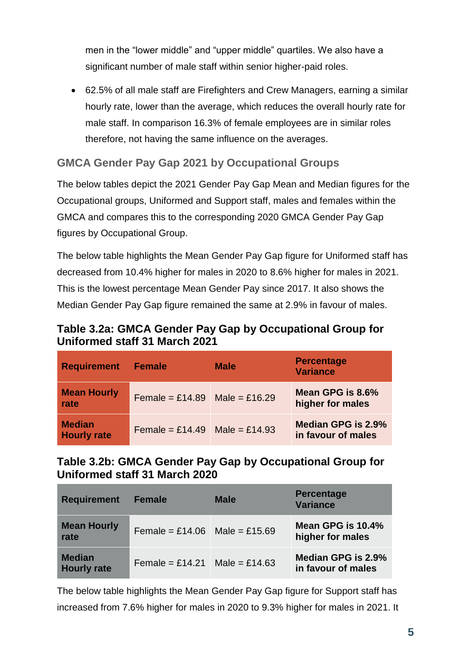men in the "lower middle" and "upper middle" quartiles. We also have a significant number of male staff within senior higher-paid roles.

 62.5% of all male staff are Firefighters and Crew Managers, earning a similar hourly rate, lower than the average, which reduces the overall hourly rate for male staff. In comparison 16.3% of female employees are in similar roles therefore, not having the same influence on the averages.

## **GMCA Gender Pay Gap 2021 by Occupational Groups**

The below tables depict the 2021 Gender Pay Gap Mean and Median figures for the Occupational groups, Uniformed and Support staff, males and females within the GMCA and compares this to the corresponding 2020 GMCA Gender Pay Gap figures by Occupational Group.

The below table highlights the Mean Gender Pay Gap figure for Uniformed staff has decreased from 10.4% higher for males in 2020 to 8.6% higher for males in 2021. This is the lowest percentage Mean Gender Pay since 2017. It also shows the Median Gender Pay Gap figure remained the same at 2.9% in favour of males.

### **Table 3.2a: GMCA Gender Pay Gap by Occupational Group for Uniformed staff 31 March 2021**

| <b>Requirement</b>                  | <b>Female</b>                 | <b>Male</b> | <b>Percentage</b><br><b>Variance</b>     |
|-------------------------------------|-------------------------------|-------------|------------------------------------------|
| <b>Mean Hourly</b><br>rate          | Female = £14.89 Male = £16.29 |             | Mean GPG is 8.6%<br>higher for males     |
| <b>Median</b><br><b>Hourly rate</b> | Female = £14.49 Male = £14.93 |             | Median GPG is 2.9%<br>in favour of males |

### **Table 3.2b: GMCA Gender Pay Gap by Occupational Group for Uniformed staff 31 March 2020**

| <b>Requirement</b>                  | <b>Female</b>                 | <b>Male</b> | <b>Percentage</b><br><b>Variance</b>     |
|-------------------------------------|-------------------------------|-------------|------------------------------------------|
| <b>Mean Hourly</b><br>rate          | Female = £14.06 Male = £15.69 |             | Mean GPG is 10.4%<br>higher for males    |
| <b>Median</b><br><b>Hourly rate</b> | Female = £14.21 Male = £14.63 |             | Median GPG is 2.9%<br>in favour of males |

The below table highlights the Mean Gender Pay Gap figure for Support staff has increased from 7.6% higher for males in 2020 to 9.3% higher for males in 2021. It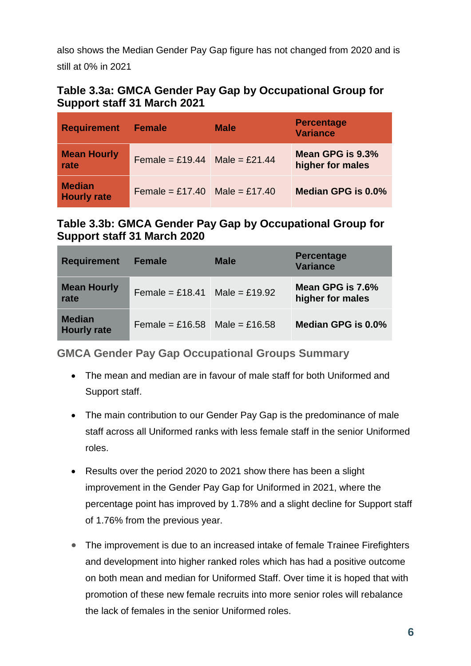also shows the Median Gender Pay Gap figure has not changed from 2020 and is still at 0% in 2021

### **Table 3.3a: GMCA Gender Pay Gap by Occupational Group for Support staff 31 March 2021**

| <b>Requirement</b>                  | <b>Female</b>                 | <b>Male</b> | <b>Percentage</b><br><b>Variance</b> |
|-------------------------------------|-------------------------------|-------------|--------------------------------------|
| <b>Mean Hourly</b><br>rate          | Female = £19.44 Male = £21.44 |             | Mean GPG is 9.3%<br>higher for males |
| <b>Median</b><br><b>Hourly rate</b> | Female = £17.40 Male = £17.40 |             | Median GPG is 0.0%                   |

## **Table 3.3b: GMCA Gender Pay Gap by Occupational Group for Support staff 31 March 2020**

| <b>Requirement</b>                  | <b>Female</b>                 | <b>Male</b> | <b>Percentage</b><br><b>Variance</b> |
|-------------------------------------|-------------------------------|-------------|--------------------------------------|
| <b>Mean Hourly</b><br>rate          | Female = £18.41 Male = £19.92 |             | Mean GPG is 7.6%<br>higher for males |
| <b>Median</b><br><b>Hourly rate</b> | Female = £16.58 Male = £16.58 |             | Median GPG is 0.0%                   |

### **GMCA Gender Pay Gap Occupational Groups Summary**

- The mean and median are in favour of male staff for both Uniformed and Support staff.
- The main contribution to our Gender Pay Gap is the predominance of male staff across all Uniformed ranks with less female staff in the senior Uniformed roles.
- Results over the period 2020 to 2021 show there has been a slight improvement in the Gender Pay Gap for Uniformed in 2021, where the percentage point has improved by 1.78% and a slight decline for Support staff of 1.76% from the previous year.
- The improvement is due to an increased intake of female Trainee Firefighters and development into higher ranked roles which has had a positive outcome on both mean and median for Uniformed Staff. Over time it is hoped that with promotion of these new female recruits into more senior roles will rebalance the lack of females in the senior Uniformed roles.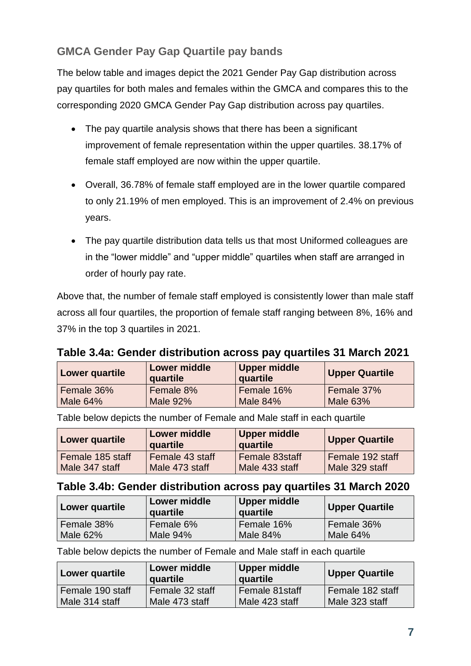## **GMCA Gender Pay Gap Quartile pay bands**

The below table and images depict the 2021 Gender Pay Gap distribution across pay quartiles for both males and females within the GMCA and compares this to the corresponding 2020 GMCA Gender Pay Gap distribution across pay quartiles.

- The pay quartile analysis shows that there has been a significant improvement of female representation within the upper quartiles. 38.17% of female staff employed are now within the upper quartile.
- Overall, 36.78% of female staff employed are in the lower quartile compared to only 21.19% of men employed. This is an improvement of 2.4% on previous years.
- The pay quartile distribution data tells us that most Uniformed colleagues are in the "lower middle" and "upper middle" quartiles when staff are arranged in order of hourly pay rate.

Above that, the number of female staff employed is consistently lower than male staff across all four quartiles, the proportion of female staff ranging between 8%, 16% and 37% in the top 3 quartiles in 2021.

## **Table 3.4a: Gender distribution across pay quartiles 31 March 2021**

| Lower quartile | <b>Lower middle</b><br>quartile | <b>Upper middle</b><br>quartile | <b>Upper Quartile</b> |
|----------------|---------------------------------|---------------------------------|-----------------------|
| Female 36%     | Female 8%                       | Female 16%                      | Female 37%            |
| Male 64%       | Male 92%                        | Male 84%                        | <b>Male 63%</b>       |

| Lower quartile   | <b>Lower middle</b><br>quartile | Upper middle<br>quartile | <b>Upper Quartile</b> |
|------------------|---------------------------------|--------------------------|-----------------------|
| Female 185 staff | Female 43 staff                 | l Female 83staff         | Female 192 staff      |
| Male 347 staff   | Male 473 staff                  | Male 433 staff           | Male 329 staff        |

Table below depicts the number of Female and Male staff in each quartile

### **Table 3.4b: Gender distribution across pay quartiles 31 March 2020**

| Lower quartile | <b>Lower middle</b><br>quartile | Upper middle<br>quartile | Upper Quartile |
|----------------|---------------------------------|--------------------------|----------------|
| Female 38%     | Female 6%                       | Female 16%               | Female 36%     |
| Male 62%       | Male 94%                        | Male 84%                 | Male 64%       |

Table below depicts the number of Female and Male staff in each quartile

| Lower quartile                     | Lower middle<br>quartile          | Upper middle<br>quartile         | <b>Upper Quartile</b>              |
|------------------------------------|-----------------------------------|----------------------------------|------------------------------------|
| Female 190 staff<br>Male 314 staff | Female 32 staff<br>Male 473 staff | Female 81staff<br>Male 423 staff | Female 182 staff<br>Male 323 staff |
|                                    |                                   |                                  |                                    |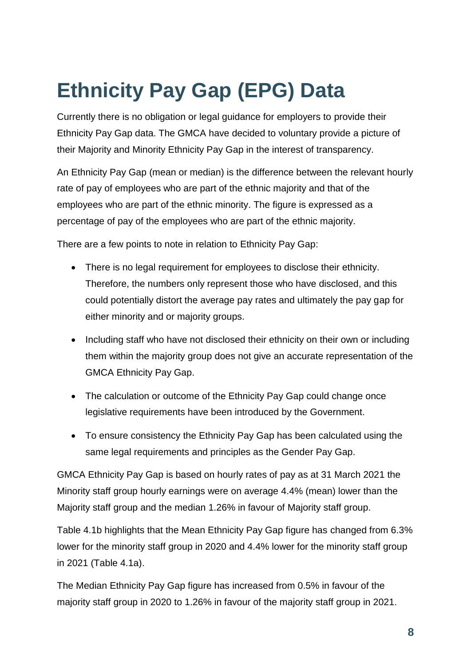# <span id="page-8-0"></span>**Ethnicity Pay Gap (EPG) Data**

Currently there is no obligation or legal guidance for employers to provide their Ethnicity Pay Gap data. The GMCA have decided to voluntary provide a picture of their Majority and Minority Ethnicity Pay Gap in the interest of transparency.

An Ethnicity Pay Gap (mean or median) is the difference between the relevant hourly rate of pay of employees who are part of the ethnic majority and that of the employees who are part of the ethnic minority. The figure is expressed as a percentage of pay of the employees who are part of the ethnic majority.

There are a few points to note in relation to Ethnicity Pay Gap:

- There is no legal requirement for employees to disclose their ethnicity. Therefore, the numbers only represent those who have disclosed, and this could potentially distort the average pay rates and ultimately the pay gap for either minority and or majority groups.
- Including staff who have not disclosed their ethnicity on their own or including them within the majority group does not give an accurate representation of the GMCA Ethnicity Pay Gap.
- The calculation or outcome of the Ethnicity Pay Gap could change once legislative requirements have been introduced by the Government.
- To ensure consistency the Ethnicity Pay Gap has been calculated using the same legal requirements and principles as the Gender Pay Gap.

GMCA Ethnicity Pay Gap is based on hourly rates of pay as at 31 March 2021 the Minority staff group hourly earnings were on average 4.4% (mean) lower than the Majority staff group and the median 1.26% in favour of Majority staff group.

Table 4.1b highlights that the Mean Ethnicity Pay Gap figure has changed from 6.3% lower for the minority staff group in 2020 and 4.4% lower for the minority staff group in 2021 (Table 4.1a).

The Median Ethnicity Pay Gap figure has increased from 0.5% in favour of the majority staff group in 2020 to 1.26% in favour of the majority staff group in 2021.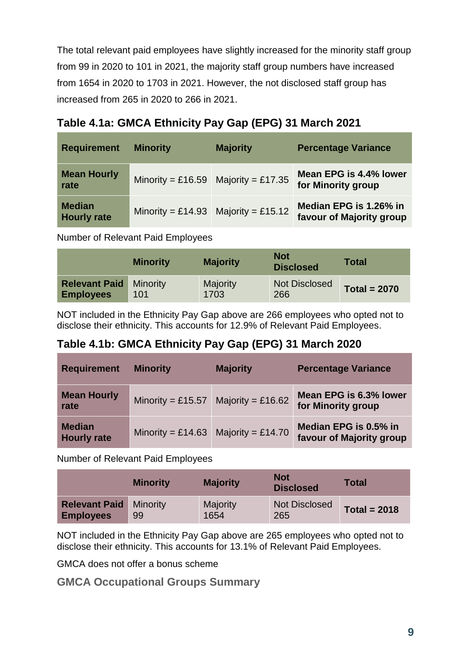The total relevant paid employees have slightly increased for the minority staff group from 99 in 2020 to 101 in 2021, the majority staff group numbers have increased from 1654 in 2020 to 1703 in 2021. However, the not disclosed staff group has increased from 265 in 2020 to 266 in 2021.

| Table 4.1a: GMCA Ethnicity Pay Gap (EPG) 31 March 2021 |  |  |
|--------------------------------------------------------|--|--|
|                                                        |  |  |

| <b>Requirement</b>                  | <b>Minority</b>                     | <b>Majority</b> | <b>Percentage Variance</b>                         |
|-------------------------------------|-------------------------------------|-----------------|----------------------------------------------------|
| <b>Mean Hourly</b><br>rate          | Minority = £16.59 Majority = £17.35 |                 | Mean EPG is 4.4% lower<br>for Minority group       |
| <b>Median</b><br><b>Hourly rate</b> | Minority = £14.93 Majority = £15.12 |                 | Median EPG is 1.26% in<br>favour of Majority group |

Number of Relevant Paid Employees

|                                                   | <b>Minority</b> | <b>Majority</b>         | <b>Not</b><br><b>Disclosed</b> | Total          |
|---------------------------------------------------|-----------------|-------------------------|--------------------------------|----------------|
| <b>Relevant Paid Minority</b><br><b>Employees</b> | 101             | <b>Majority</b><br>1703 | <b>Not Disclosed</b><br>266    | Total = $2070$ |

NOT included in the Ethnicity Pay Gap above are 266 employees who opted not to disclose their ethnicity. This accounts for 12.9% of Relevant Paid Employees.

## **Table 4.1b: GMCA Ethnicity Pay Gap (EPG) 31 March 2020**

| <b>Requirement</b>                  | <b>Minority</b>   | <b>Majority</b>   | <b>Percentage Variance</b>                        |
|-------------------------------------|-------------------|-------------------|---------------------------------------------------|
| <b>Mean Hourly</b><br>rate          | Minority = £15.57 | Majority = £16.62 | Mean EPG is 6.3% lower<br>for Minority group      |
| <b>Median</b><br><b>Hourly rate</b> | Minority = £14.63 | Majority = £14.70 | Median EPG is 0.5% in<br>favour of Majority group |

Number of Relevant Paid Employees

|                                                   | <b>Minority</b> | <b>Majority</b>  | <b>Not</b><br><b>Disclosed</b> | <b>Total</b>   |
|---------------------------------------------------|-----------------|------------------|--------------------------------|----------------|
| <b>Relevant Paid Minority</b><br><b>Employees</b> | 99              | Majority<br>1654 | <b>Not Disclosed</b><br>265    | Total = $2018$ |

NOT included in the Ethnicity Pay Gap above are 265 employees who opted not to disclose their ethnicity. This accounts for 13.1% of Relevant Paid Employees.

GMCA does not offer a bonus scheme

**GMCA Occupational Groups Summary**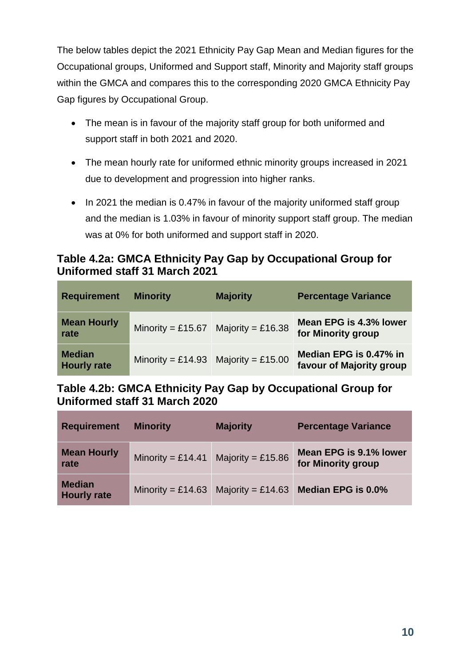The below tables depict the 2021 Ethnicity Pay Gap Mean and Median figures for the Occupational groups, Uniformed and Support staff, Minority and Majority staff groups within the GMCA and compares this to the corresponding 2020 GMCA Ethnicity Pay Gap figures by Occupational Group.

- The mean is in favour of the majority staff group for both uniformed and support staff in both 2021 and 2020.
- The mean hourly rate for uniformed ethnic minority groups increased in 2021 due to development and progression into higher ranks.
- In 2021 the median is 0.47% in favour of the majority uniformed staff group and the median is 1.03% in favour of minority support staff group. The median was at 0% for both uniformed and support staff in 2020.

## **Table 4.2a: GMCA Ethnicity Pay Gap by Occupational Group for Uniformed staff 31 March 2021**

| <b>Requirement</b>                  | <b>Minority</b>                     | <b>Majority</b> | <b>Percentage Variance</b>                         |
|-------------------------------------|-------------------------------------|-----------------|----------------------------------------------------|
| <b>Mean Hourly</b><br>rate          | Minority = £15.67 Majority = £16.38 |                 | Mean EPG is 4.3% lower<br>for Minority group       |
| <b>Median</b><br><b>Hourly rate</b> | Minority = £14.93 Majority = £15.00 |                 | Median EPG is 0.47% in<br>favour of Majority group |

**Table 4.2b: GMCA Ethnicity Pay Gap by Occupational Group for Uniformed staff 31 March 2020**

| <b>Requirement</b>                  | <b>Minority</b>   | <b>Majority</b>   | <b>Percentage Variance</b>                   |
|-------------------------------------|-------------------|-------------------|----------------------------------------------|
| <b>Mean Hourly</b><br>rate          | Minority = £14.41 | Majority = £15.86 | Mean EPG is 9.1% lower<br>for Minority group |
| <b>Median</b><br><b>Hourly rate</b> | Minority = £14.63 | Majority = £14.63 | Median EPG is 0.0%                           |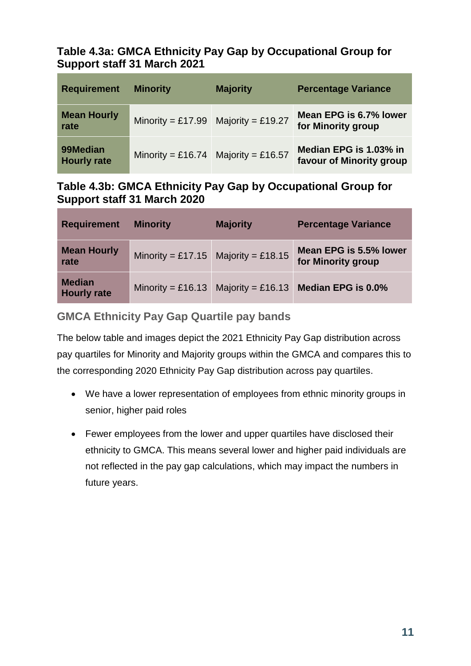## **Table 4.3a: GMCA Ethnicity Pay Gap by Occupational Group for Support staff 31 March 2021**

| <b>Requirement</b>             | <b>Minority</b>                     | <b>Majority</b>   | <b>Percentage Variance</b>                         |
|--------------------------------|-------------------------------------|-------------------|----------------------------------------------------|
| <b>Mean Hourly</b><br>rate     | Minority = £17.99                   | Majority = £19.27 | Mean EPG is 6.7% lower<br>for Minority group       |
| 99Median<br><b>Hourly rate</b> | Minority = £16.74 Majority = £16.57 |                   | Median EPG is 1.03% in<br>favour of Minority group |

## **Table 4.3b: GMCA Ethnicity Pay Gap by Occupational Group for Support staff 31 March 2020**

| <b>Requirement</b>                  | <b>Minority</b>   | <b>Majority</b>                     | <b>Percentage Variance</b>                   |
|-------------------------------------|-------------------|-------------------------------------|----------------------------------------------|
| <b>Mean Hourly</b><br>rate          |                   | Minority = £17.15 Majority = £18.15 | Mean EPG is 5.5% lower<br>for Minority group |
| <b>Median</b><br><b>Hourly rate</b> | Minority = £16.13 | Majority = £16.13                   | Median EPG is 0.0%                           |

## **GMCA Ethnicity Pay Gap Quartile pay bands**

The below table and images depict the 2021 Ethnicity Pay Gap distribution across pay quartiles for Minority and Majority groups within the GMCA and compares this to the corresponding 2020 Ethnicity Pay Gap distribution across pay quartiles.

- We have a lower representation of employees from ethnic minority groups in senior, higher paid roles
- Fewer employees from the lower and upper quartiles have disclosed their ethnicity to GMCA. This means several lower and higher paid individuals are not reflected in the pay gap calculations, which may impact the numbers in future years.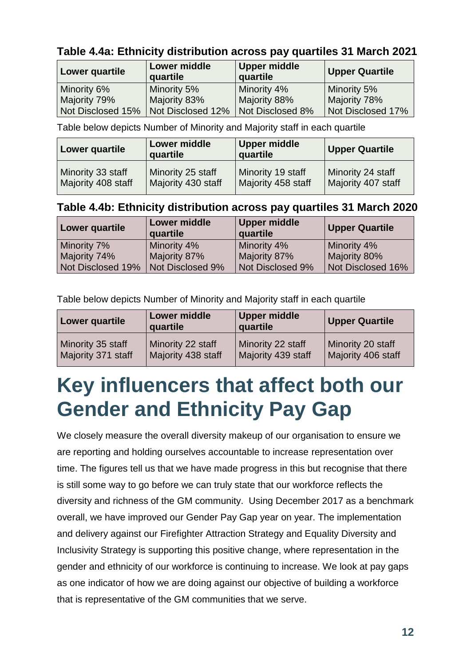**Table 4.4a: Ethnicity distribution across pay quartiles 31 March 2021**

| Lower quartile    | Lower middle<br>quartile             | Upper middle<br>quartile | <b>Upper Quartile</b> |
|-------------------|--------------------------------------|--------------------------|-----------------------|
| Minority 6%       | Minority 5%                          | Minority 4%              | Minority 5%           |
| Majority 79%      | Majority 83%                         | Majority 88%             | Majority 78%          |
| Not Disclosed 15% | Not Disclosed 12%   Not Disclosed 8% |                          | Not Disclosed 17%     |

Table below depicts Number of Minority and Majority staff in each quartile

| Lower quartile     | <b>Lower middle</b><br>quartile | <b>Upper middle</b><br>quartile | <b>Upper Quartile</b> |
|--------------------|---------------------------------|---------------------------------|-----------------------|
| Minority 33 staff  | Minority 25 staff               | Minority 19 staff               | Minority 24 staff     |
| Majority 408 staff | Majority 430 staff              | Majority 458 staff              | Majority 407 staff    |

## **Table 4.4b: Ethnicity distribution across pay quartiles 31 March 2020**

| Lower quartile    | Lower middle<br>quartile | <b>Upper middle</b><br>quartile | <b>Upper Quartile</b> |
|-------------------|--------------------------|---------------------------------|-----------------------|
| Minority 7%       | Minority 4%              | Minority 4%                     | Minority 4%           |
| Majority 74%      | Majority 87%             | Majority 87%                    | Majority 80%          |
| Not Disclosed 19% | Not Disclosed 9%         | Not Disclosed 9%                | Not Disclosed 16%     |

Table below depicts Number of Minority and Majority staff in each quartile

| Lower quartile     | <b>Lower middle</b><br>quartile | <b>Upper middle</b><br>quartile | <b>Upper Quartile</b> |
|--------------------|---------------------------------|---------------------------------|-----------------------|
| Minority 35 staff  | Minority 22 staff               | Minority 22 staff               | Minority 20 staff     |
| Majority 371 staff | Majority 438 staff              | Majority 439 staff              | Majority 406 staff    |

## <span id="page-12-0"></span>**Key influencers that affect both our Gender and Ethnicity Pay Gap**

We closely measure the overall diversity makeup of our organisation to ensure we are reporting and holding ourselves accountable to increase representation over time. The figures tell us that we have made progress in this but recognise that there is still some way to go before we can truly state that our workforce reflects the diversity and richness of the GM community. Using December 2017 as a benchmark overall, we have improved our Gender Pay Gap year on year. The implementation and delivery against our Firefighter Attraction Strategy and Equality Diversity and Inclusivity Strategy is supporting this positive change, where representation in the gender and ethnicity of our workforce is continuing to increase. We look at pay gaps as one indicator of how we are doing against our objective of building a workforce that is representative of the GM communities that we serve.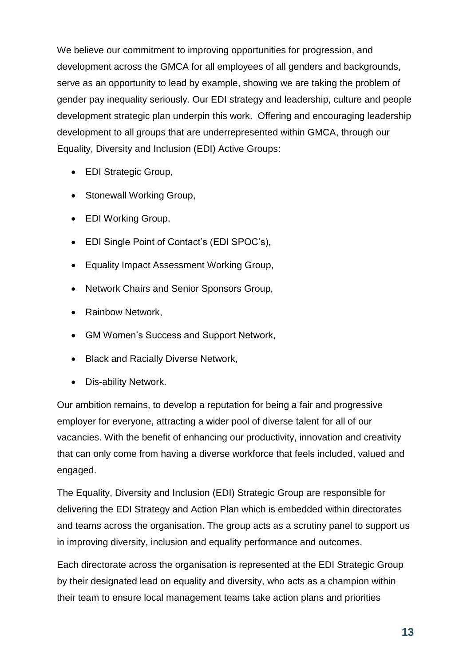We believe our commitment to improving opportunities for progression, and development across the GMCA for all employees of all genders and backgrounds, serve as an opportunity to lead by example, showing we are taking the problem of gender pay inequality seriously. Our EDI strategy and leadership, culture and people development strategic plan underpin this work. Offering and encouraging leadership development to all groups that are underrepresented within GMCA, through our Equality, Diversity and Inclusion (EDI) Active Groups:

- EDI Strategic Group,
- Stonewall Working Group,
- EDI Working Group,
- EDI Single Point of Contact's (EDI SPOC's),
- Equality Impact Assessment Working Group,
- Network Chairs and Senior Sponsors Group,
- Rainbow Network,
- GM Women's Success and Support Network,
- Black and Racially Diverse Network,
- Dis-ability Network.

Our ambition remains, to develop a reputation for being a fair and progressive employer for everyone, attracting a wider pool of diverse talent for all of our vacancies. With the benefit of enhancing our productivity, innovation and creativity that can only come from having a diverse workforce that feels included, valued and engaged.

The Equality, Diversity and Inclusion (EDI) Strategic Group are responsible for delivering the EDI Strategy and Action Plan which is embedded within directorates and teams across the organisation. The group acts as a scrutiny panel to support us in improving diversity, inclusion and equality performance and outcomes.

Each directorate across the organisation is represented at the EDI Strategic Group by their designated lead on equality and diversity, who acts as a champion within their team to ensure local management teams take action plans and priorities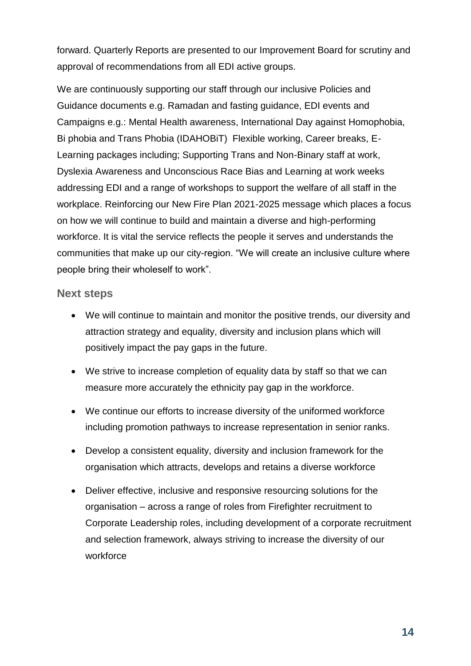forward. Quarterly Reports are presented to our Improvement Board for scrutiny and approval of recommendations from all EDI active groups.

We are continuously supporting our staff through our inclusive Policies and Guidance documents e.g. Ramadan and fasting guidance, EDI events and Campaigns e.g.: Mental Health awareness, International Day against Homophobia, Bi phobia and Trans Phobia (IDAHOBiT) Flexible working, Career breaks, E-Learning packages including; Supporting Trans and Non-Binary staff at work, Dyslexia Awareness and Unconscious Race Bias and Learning at work weeks addressing EDI and a range of workshops to support the welfare of all staff in the workplace. Reinforcing our New Fire Plan 2021-2025 message which places a focus on how we will continue to build and maintain a diverse and high-performing workforce. It is vital the service reflects the people it serves and understands the communities that make up our city-region. "We will create an inclusive culture where people bring their wholeself to work".

#### **Next steps**

- We will continue to maintain and monitor the positive trends, our diversity and attraction strategy and equality, diversity and inclusion plans which will positively impact the pay gaps in the future.
- We strive to increase completion of equality data by staff so that we can measure more accurately the ethnicity pay gap in the workforce.
- We continue our efforts to increase diversity of the uniformed workforce including promotion pathways to increase representation in senior ranks.
- Develop a consistent equality, diversity and inclusion framework for the organisation which attracts, develops and retains a diverse workforce
- Deliver effective, inclusive and responsive resourcing solutions for the organisation – across a range of roles from Firefighter recruitment to Corporate Leadership roles, including development of a corporate recruitment and selection framework, always striving to increase the diversity of our workforce